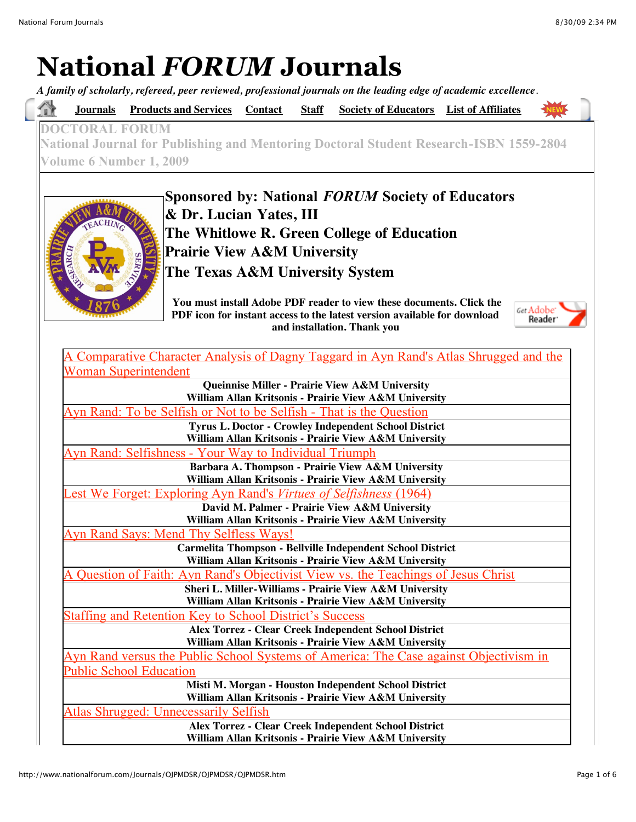## **National** *FORUM* **Journals**

*A family of scholarly, refereed, peer reviewed, professional journals on the leading edge of academic excellence.*

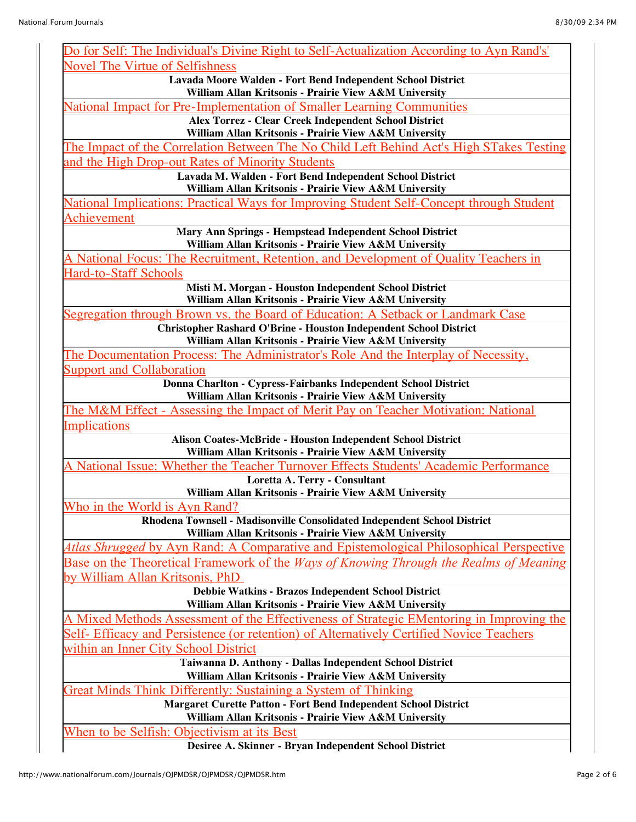| Do for Self: The Individual's Divine Right to Self-Actualization According to Ayn Rand's'                                       |
|---------------------------------------------------------------------------------------------------------------------------------|
| <b>Novel The Virtue of Selfishness</b>                                                                                          |
| Lavada Moore Walden - Fort Bend Independent School District<br>William Allan Kritsonis - Prairie View A&M University            |
| <u><b>National Impact for Pre-Implementation of Smaller Learning Communities</b></u>                                            |
| Alex Torrez - Clear Creek Independent School District                                                                           |
| William Allan Kritsonis - Prairie View A&M University                                                                           |
| The Impact of the Correlation Between The No Child Left Behind Act's High STakes Testing                                        |
| and the High Drop-out Rates of Minority Students                                                                                |
| Lavada M. Walden - Fort Bend Independent School District<br>William Allan Kritsonis - Prairie View A&M University               |
| National Implications: Practical Ways for Improving Student Self-Concept through Student                                        |
| <u>Achievement</u>                                                                                                              |
| Mary Ann Springs - Hempstead Independent School District                                                                        |
| William Allan Kritsonis - Prairie View A&M University                                                                           |
| A National Focus: The Recruitment, Retention, and Development of Quality Teachers in                                            |
| Hard-to-Staff Schools                                                                                                           |
| Misti M. Morgan - Houston Independent School District                                                                           |
| William Allan Kritsonis - Prairie View A&M University                                                                           |
| <u>Segregation through Brown vs. the Board of Education: A Setback or Landmark Case</u>                                         |
| Christopher Rashard O'Brine - Houston Independent School District<br>William Allan Kritsonis - Prairie View A&M University      |
| <u>The Documentation Process: The Administrator's Role And the Interplay of Necessity,</u>                                      |
| <b>Support and Collaboration</b>                                                                                                |
| Donna Charlton - Cypress-Fairbanks Independent School District                                                                  |
| William Allan Kritsonis - Prairie View A&M University                                                                           |
| The M&M Effect - Assessing the Impact of Merit Pay on Teacher Motivation: National                                              |
| <b>Implications</b>                                                                                                             |
| Alison Coates-McBride - Houston Independent School District                                                                     |
| William Allan Kritsonis - Prairie View A&M University                                                                           |
| National Issue: Whether the Teacher Turnover Effects Students' Academic Performance                                             |
| Loretta A. Terry - Consultant<br>William Allan Kritsonis - Prairie View A&M University                                          |
| Who in the World is Ayn Rand?                                                                                                   |
| Rhodena Townsell - Madisonville Consolidated Independent School District                                                        |
| William Allan Kritsonis - Prairie View A&M University                                                                           |
| <i>Atlas Shrugged</i> by Ayn Rand: A Comparative and Epistemological Philosophical Perspective                                  |
| Base on the Theoretical Framework of the <i>Ways of Knowing Through the Realms of Meaning</i>                                   |
| by William Allan Kritsonis, PhD                                                                                                 |
| Debbie Watkins - Brazos Independent School District                                                                             |
| William Allan Kritsonis - Prairie View A&M University                                                                           |
| A Mixed Methods Assessment of the Effectiveness of Strategic EMentoring in Improving the                                        |
| Self- Efficacy and Persistence (or retention) of Alternatively Certified Novice Teachers                                        |
| within an Inner City School District                                                                                            |
| Taiwanna D. Anthony - Dallas Independent School District                                                                        |
| William Allan Kritsonis - Prairie View A&M University                                                                           |
| <u>Great Minds Think Differently: Sustaining a System of Thinking</u>                                                           |
| <b>Margaret Curette Patton - Fort Bend Independent School District</b><br>William Allan Kritsonis - Prairie View A&M University |
| <u>When to be Selfish: Objectivism at its Best</u>                                                                              |
| Desiree A. Skinner - Bryan Independent School District                                                                          |
|                                                                                                                                 |

 $\mathbf \mathbf I$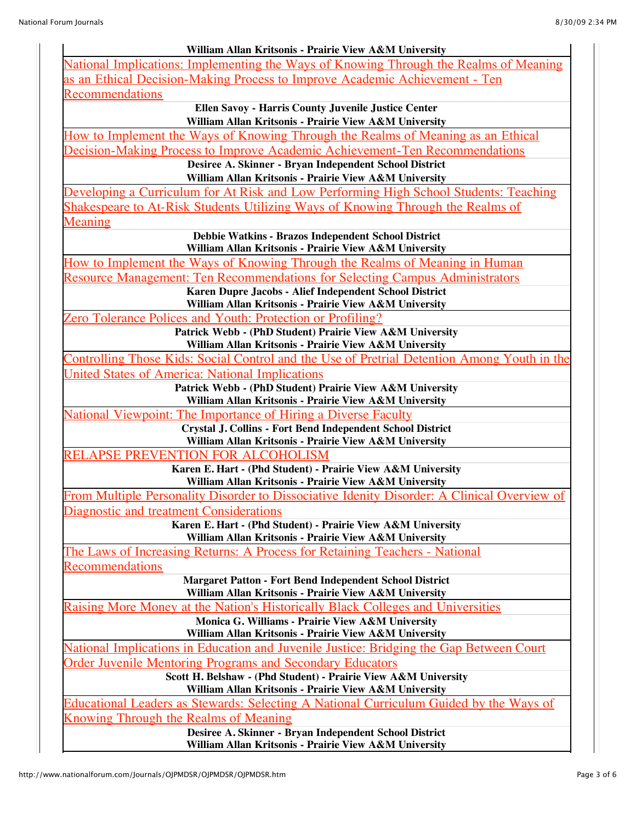| William Allan Kritsonis - Prairie View A&M University                                                                                |
|--------------------------------------------------------------------------------------------------------------------------------------|
| National Implications: Implementing the Ways of Knowing Through the Realms of Meaning                                                |
| as an Ethical Decision-Making Process to Improve Academic Achievement - Ten                                                          |
| <b>Recommendations</b>                                                                                                               |
| Ellen Savoy - Harris County Juvenile Justice Center                                                                                  |
| William Allan Kritsonis - Prairie View A&M University                                                                                |
| How to Implement the Ways of Knowing Through the Realms of Meaning as an Ethical                                                     |
| <b>Decision-Making Process to Improve Academic Achievement-Ten Recommendations</b>                                                   |
| Desiree A. Skinner - Bryan Independent School District                                                                               |
| William Allan Kritsonis - Prairie View A&M University                                                                                |
| Developing a Curriculum for At Risk and Low Performing High School Students: Teaching                                                |
| Shakespeare to At-Risk Students Utilizing Ways of Knowing Through the Realms of                                                      |
| Meaning                                                                                                                              |
| Debbie Watkins - Brazos Independent School District                                                                                  |
| William Allan Kritsonis - Prairie View A&M University                                                                                |
| <u>How to Implement the Ways of Knowing Through the Realms of Meaning in Human</u>                                                   |
| Resource Management: Ten Recommendations for Selecting Campus Administrators                                                         |
| Karen Dupre Jacobs - Alief Independent School District<br>William Allan Kritsonis - Prairie View A&M University                      |
| Zero Tolerance Polices and Youth: Protection or Profiling?                                                                           |
| Patrick Webb - (PhD Student) Prairie View A&M University                                                                             |
| William Allan Kritsonis - Prairie View A&M University                                                                                |
| Controlling Those Kids: Social Control and the Use of Pretrial Detention Among Youth in the                                          |
| <b>United States of America: National Implications</b>                                                                               |
| Patrick Webb - (PhD Student) Prairie View A&M University                                                                             |
| William Allan Kritsonis - Prairie View A&M University                                                                                |
| National Viewpoint: The Importance of Hiring a Diverse Faculty                                                                       |
| <b>Crystal J. Collins - Fort Bend Independent School District</b>                                                                    |
| William Allan Kritsonis - Prairie View A&M University                                                                                |
| RELAPSE PREVENTION FOR ALCOHOLISM                                                                                                    |
| Karen E. Hart - (Phd Student) - Prairie View A&M University                                                                          |
| William Allan Kritsonis - Prairie View A&M University                                                                                |
| From Multiple Personality Disorder to Dissociative Idenity Disorder: A Clinical Overview of                                          |
| Diagnostic and treatment Considerations                                                                                              |
| Karen E. Hart - (Phd Student) - Prairie View A&M University                                                                          |
| William Allan Kritsonis - Prairie View A&M University<br>The Laws of Increasing Returns: A Process for Retaining Teachers - National |
|                                                                                                                                      |
| <b>Recommendations</b><br><b>Margaret Patton - Fort Bend Independent School District</b>                                             |
| William Allan Kritsonis - Prairie View A&M University                                                                                |
| Raising More Money at the Nation's Historically Black Colleges and Universities                                                      |
| Monica G. Williams - Prairie View A&M University                                                                                     |
| William Allan Kritsonis - Prairie View A&M University                                                                                |
| <u>National Implications in Education and Juvenile Justice: Bridging the Gap Between Court</u>                                       |
| <b>Order Juvenile Mentoring Programs and Secondary Educators</b>                                                                     |
| Scott H. Belshaw - (Phd Student) - Prairie View A&M University                                                                       |
| William Allan Kritsonis - Prairie View A&M University                                                                                |
| <u>Educational Leaders as Stewards: Selecting A National Curriculum Guided by the Ways of</u>                                        |
| <u><b>Knowing Through the Realms of Meaning</b></u>                                                                                  |
| Desiree A. Skinner - Bryan Independent School District                                                                               |
| William Allan Kritsonis - Prairie View A&M University                                                                                |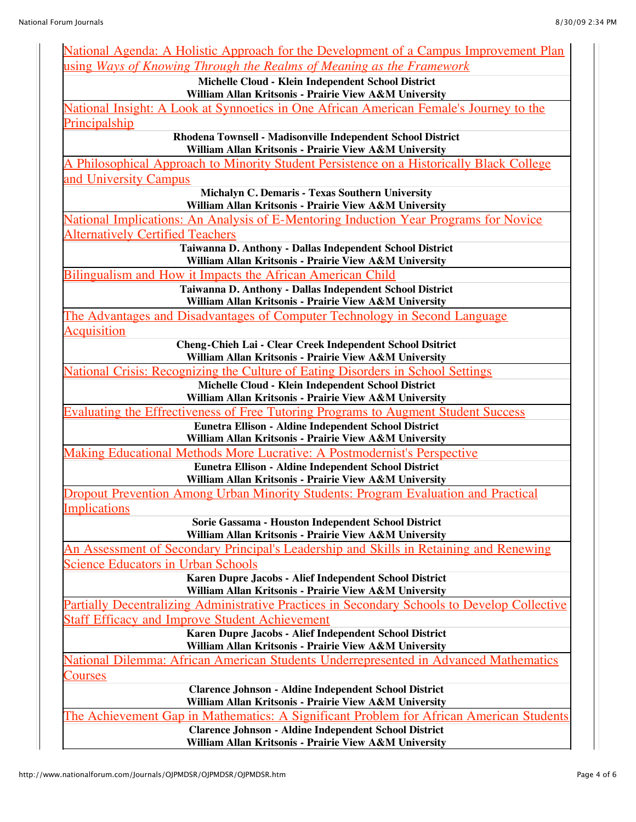| National Agenda: A Holistic Approach for the Development of a Campus Improvement Plan                                                                          |
|----------------------------------------------------------------------------------------------------------------------------------------------------------------|
| <u>using Ways of Knowing Through the Realms of Meaning as the Framework</u>                                                                                    |
| Michelle Cloud - Klein Independent School District<br>William Allan Kritsonis - Prairie View A&M University                                                    |
| National Insight: A Look at Synnoetics in One African American Female's Journey to the                                                                         |
| <b>Principalship</b>                                                                                                                                           |
| Rhodena Townsell - Madisonville Independent School District                                                                                                    |
| William Allan Kritsonis - Prairie View A&M University                                                                                                          |
| A Philosophical Approach to Minority Student Persistence on a Historically Black College                                                                       |
| and University Campus                                                                                                                                          |
| Michalyn C. Demaris - Texas Southern University                                                                                                                |
| William Allan Kritsonis - Prairie View A&M University                                                                                                          |
| <u><b>National Implications: An Analysis of E-Mentoring Induction Year Programs for Novice</b></u>                                                             |
| <b>Alternatively Certified Teachers</b><br>Taiwanna D. Anthony - Dallas Independent School District                                                            |
| William Allan Kritsonis - Prairie View A&M University                                                                                                          |
| Bilingualism and How it Impacts the African American Child                                                                                                     |
| Taiwanna D. Anthony - Dallas Independent School District                                                                                                       |
| William Allan Kritsonis - Prairie View A&M University                                                                                                          |
| The Advantages and Disadvantages of Computer Technology in Second Language                                                                                     |
| <b>Acquisition</b>                                                                                                                                             |
| Cheng-Chieh Lai - Clear Creek Independent School Dsitrict                                                                                                      |
| William Allan Kritsonis - Prairie View A&M University                                                                                                          |
| <u><b>National Crisis: Recognizing the Culture of Eating Disorders in School Settings</b></u><br>Michelle Cloud - Klein Independent School District            |
| William Allan Kritsonis - Prairie View A&M University                                                                                                          |
| <b>Evaluating the Effrectiveness of Free Tutoring Programs to Augment Student Success</b>                                                                      |
| Eunetra Ellison - Aldine Independent School District                                                                                                           |
| William Allan Kritsonis - Prairie View A&M University                                                                                                          |
| Making Educational Methods More Lucrative: A Postmodernist's Perspective                                                                                       |
| Eunetra Ellison - Aldine Independent School District                                                                                                           |
| William Allan Kritsonis - Prairie View A&M University                                                                                                          |
| <b>Dropout Prevention Among Urban Minority Students: Program Evaluation and Practical</b><br>Implications                                                      |
| Sorie Gassama - Houston Independent School District                                                                                                            |
| William Allan Kritsonis - Prairie View A&M University                                                                                                          |
| <u>An Assessment of Secondary Principal's Leadership and Skills in Retaining and Renewing</u>                                                                  |
| <b>Science Educators in Urban Schools</b>                                                                                                                      |
| Karen Dupre Jacobs - Alief Independent School District<br>William Allan Kritsonis - Prairie View A&M University                                                |
| <u>Partially Decentralizing Administrative Practices in Secondary Schools to Develop Collective</u>                                                            |
| <b>Staff Efficacy and Improve Student Achievement</b>                                                                                                          |
| Karen Dupre Jacobs - Alief Independent School District                                                                                                         |
| William Allan Kritsonis - Prairie View A&M University                                                                                                          |
| National Dilemma: African American Students Underrepresented in Advanced Mathematics                                                                           |
| <u>Courses</u>                                                                                                                                                 |
| <b>Clarence Johnson - Aldine Independent School District</b>                                                                                                   |
| William Allan Kritsonis - Prairie View A&M University                                                                                                          |
| <u>The Achievement Gap in Mathematics: A Significant Problem for African American Students</u><br><b>Clarence Johnson - Aldine Independent School District</b> |
| William Allan Kritsonis - Prairie View A&M University                                                                                                          |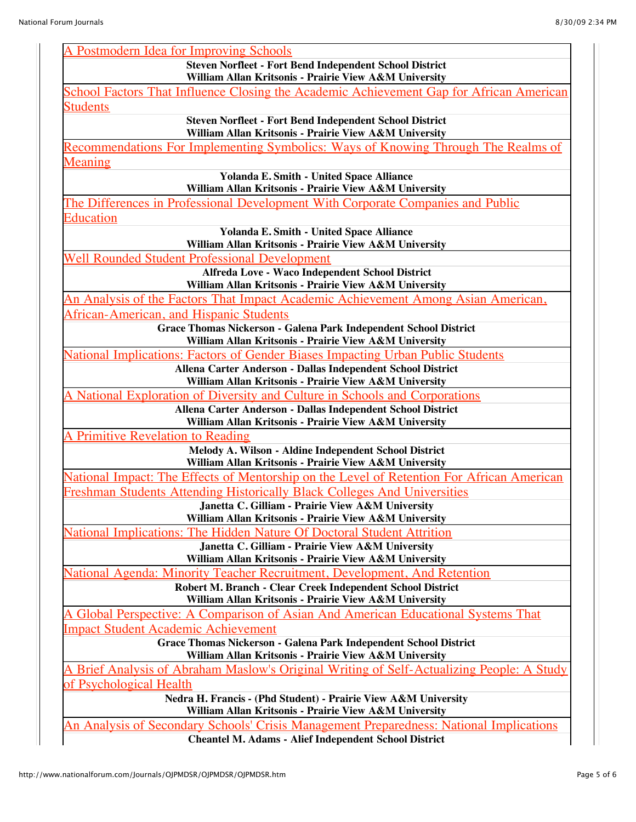| A Postmodern Idea for Improving Schools                                                                   |
|-----------------------------------------------------------------------------------------------------------|
| <b>Steven Norfleet - Fort Bend Independent School District</b>                                            |
| William Allan Kritsonis - Prairie View A&M University                                                     |
| School Factors That Influence Closing the Academic Achievement Gap for African American                   |
| <b>Students</b>                                                                                           |
| <b>Steven Norfleet - Fort Bend Independent School District</b>                                            |
| William Allan Kritsonis - Prairie View A&M University                                                     |
| <u>Recommendations For Implementing Symbolics: Ways of Knowing Through The Realms of</u>                  |
| Meaning                                                                                                   |
| Yolanda E. Smith - United Space Alliance                                                                  |
| William Allan Kritsonis - Prairie View A&M University                                                     |
| The Differences in Professional Development With Corporate Companies and Public                           |
| <b>Education</b>                                                                                          |
| Yolanda E. Smith - United Space Alliance<br>William Allan Kritsonis - Prairie View A&M University         |
| Well Rounded Student Professional Development                                                             |
| Alfreda Love - Waco Independent School District                                                           |
| William Allan Kritsonis - Prairie View A&M University                                                     |
| <u>An Analysis of the Factors That Impact Academic Achievement Among Asian American.</u>                  |
| <b>African-American, and Hispanic Students</b>                                                            |
| Grace Thomas Nickerson - Galena Park Independent School District                                          |
| William Allan Kritsonis - Prairie View A&M University                                                     |
| <u><b>National Implications: Factors of Gender Biases Impacting Urban Public Students</b></u>             |
| Allena Carter Anderson - Dallas Independent School District                                               |
| William Allan Kritsonis - Prairie View A&M University                                                     |
| A National Exploration of Diversity and Culture in Schools and Corporations                               |
| Allena Carter Anderson - Dallas Independent School District                                               |
| William Allan Kritsonis - Prairie View A&M University                                                     |
| <b>Primitive Revelation to Reading</b>                                                                    |
| Melody A. Wilson - Aldine Independent School District                                                     |
| William Allan Kritsonis - Prairie View A&M University                                                     |
| National Impact: The Effects of Mentorship on the Level of Retention For African American                 |
| Freshman Students Attending Historically Black Colleges And Universities                                  |
| Janetta C. Gilliam - Prairie View A&M University<br>William Allan Kritsonis - Prairie View A&M University |
| <b>National Implications: The Hidden Nature Of Doctoral Student Attrition</b>                             |
| Janetta C. Gilliam - Prairie View A&M University                                                          |
| William Allan Kritsonis - Prairie View A&M University                                                     |
| National Agenda: Minority Teacher Recruitment, Development, And Retention                                 |
| Robert M. Branch - Clear Creek Independent School District                                                |
| William Allan Kritsonis - Prairie View A&M University                                                     |
| A Global Perspective: A Comparison of Asian And American Educational Systems That                         |
| <b>Impact Student Academic Achievement</b>                                                                |
| Grace Thomas Nickerson - Galena Park Independent School District                                          |
| William Allan Kritsonis - Prairie View A&M University                                                     |
| <u>A Brief Analysis of Abraham Maslow's Original Writing of Self-Actualizing People: A Study</u>          |
| <u>of Psychological Health</u>                                                                            |
| Nedra H. Francis - (Phd Student) - Prairie View A&M University                                            |
| William Allan Kritsonis - Prairie View A&M University                                                     |
| <u>An Analysis of Secondary Schools' Crisis Management Preparedness: National Implications</u>            |
| <b>Cheantel M. Adams - Alief Independent School District</b>                                              |

 $\mathsf{I}$ 

 $\mathsf{I}$